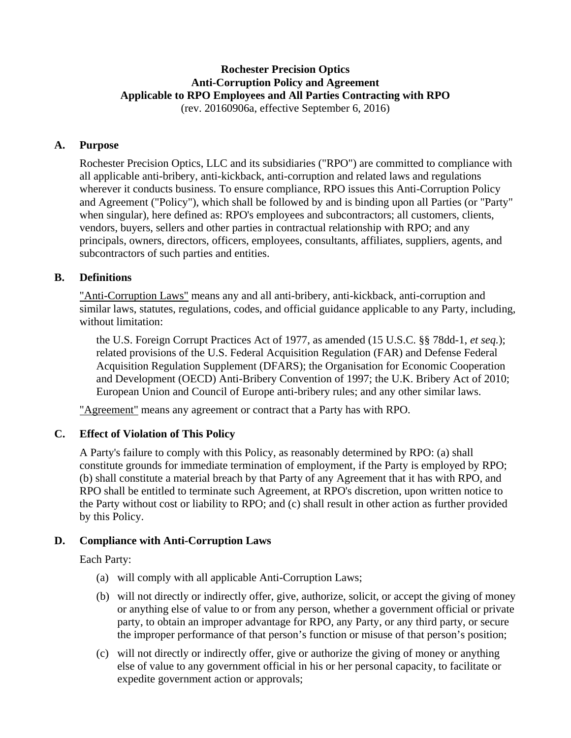# **Rochester Precision Optics Anti-Corruption Policy and Agreement Applicable to RPO Employees and All Parties Contracting with RPO**

(rev. 20160906a, effective September 6, 2016)

## **A. Purpose**

Rochester Precision Optics, LLC and its subsidiaries ("RPO") are committed to compliance with all applicable anti-bribery, anti-kickback, anti-corruption and related laws and regulations wherever it conducts business. To ensure compliance, RPO issues this Anti-Corruption Policy and Agreement ("Policy"), which shall be followed by and is binding upon all Parties (or "Party" when singular), here defined as: RPO's employees and subcontractors; all customers, clients, vendors, buyers, sellers and other parties in contractual relationship with RPO; and any principals, owners, directors, officers, employees, consultants, affiliates, suppliers, agents, and subcontractors of such parties and entities.

## **B. Definitions**

"Anti-Corruption Laws" means any and all anti-bribery, anti-kickback, anti-corruption and similar laws, statutes, regulations, codes, and official guidance applicable to any Party, including, without limitation:

the U.S. Foreign Corrupt Practices Act of 1977, as amended (15 U.S.C. §§ 78dd-1, *et seq.*); related provisions of the U.S. Federal Acquisition Regulation (FAR) and Defense Federal Acquisition Regulation Supplement (DFARS); the Organisation for Economic Cooperation and Development (OECD) Anti-Bribery Convention of 1997; the U.K. Bribery Act of 2010; European Union and Council of Europe anti-bribery rules; and any other similar laws.

"Agreement" means any agreement or contract that a Party has with RPO.

## **C. Effect of Violation of This Policy**

A Party's failure to comply with this Policy, as reasonably determined by RPO: (a) shall constitute grounds for immediate termination of employment, if the Party is employed by RPO; (b) shall constitute a material breach by that Party of any Agreement that it has with RPO, and RPO shall be entitled to terminate such Agreement, at RPO's discretion, upon written notice to the Party without cost or liability to RPO; and (c) shall result in other action as further provided by this Policy.

## **D. Compliance with Anti-Corruption Laws**

Each Party:

- (a) will comply with all applicable Anti-Corruption Laws;
- (b) will not directly or indirectly offer, give, authorize, solicit, or accept the giving of money or anything else of value to or from any person, whether a government official or private party, to obtain an improper advantage for RPO, any Party, or any third party, or secure the improper performance of that person's function or misuse of that person's position;
- (c) will not directly or indirectly offer, give or authorize the giving of money or anything else of value to any government official in his or her personal capacity, to facilitate or expedite government action or approvals;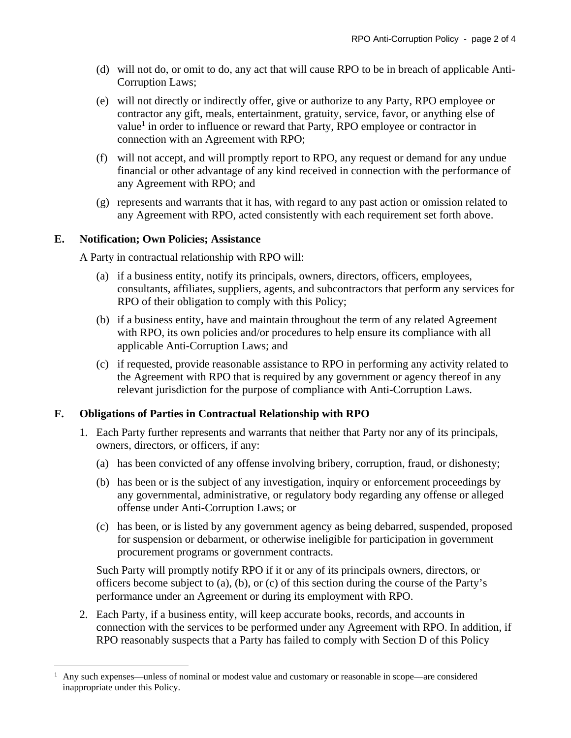- (d) will not do, or omit to do, any act that will cause RPO to be in breach of applicable Anti-Corruption Laws;
- (e) will not directly or indirectly offer, give or authorize to any Party, RPO employee or contractor any gift, meals, entertainment, gratuity, service, favor, or anything else of value<sup>1</sup> in order to influence or reward that Party, RPO employee or contractor in connection with an Agreement with RPO;
- (f) will not accept, and will promptly report to RPO, any request or demand for any undue financial or other advantage of any kind received in connection with the performance of any Agreement with RPO; and
- (g) represents and warrants that it has, with regard to any past action or omission related to any Agreement with RPO, acted consistently with each requirement set forth above.

### **E. Notification; Own Policies; Assistance**

1

A Party in contractual relationship with RPO will:

- (a) if a business entity, notify its principals, owners, directors, officers, employees, consultants, affiliates, suppliers, agents, and subcontractors that perform any services for RPO of their obligation to comply with this Policy;
- (b) if a business entity, have and maintain throughout the term of any related Agreement with RPO, its own policies and/or procedures to help ensure its compliance with all applicable Anti-Corruption Laws; and
- (c) if requested, provide reasonable assistance to RPO in performing any activity related to the Agreement with RPO that is required by any government or agency thereof in any relevant jurisdiction for the purpose of compliance with Anti-Corruption Laws.

### **F. Obligations of Parties in Contractual Relationship with RPO**

- 1. Each Party further represents and warrants that neither that Party nor any of its principals, owners, directors, or officers, if any:
	- (a) has been convicted of any offense involving bribery, corruption, fraud, or dishonesty;
	- (b) has been or is the subject of any investigation, inquiry or enforcement proceedings by any governmental, administrative, or regulatory body regarding any offense or alleged offense under Anti-Corruption Laws; or
	- (c) has been, or is listed by any government agency as being debarred, suspended, proposed for suspension or debarment, or otherwise ineligible for participation in government procurement programs or government contracts.

Such Party will promptly notify RPO if it or any of its principals owners, directors, or officers become subject to (a), (b), or (c) of this section during the course of the Party's performance under an Agreement or during its employment with RPO.

2. Each Party, if a business entity, will keep accurate books, records, and accounts in connection with the services to be performed under any Agreement with RPO. In addition, if RPO reasonably suspects that a Party has failed to comply with Section D of this Policy

<sup>1</sup> Any such expenses—unless of nominal or modest value and customary or reasonable in scope—are considered inappropriate under this Policy.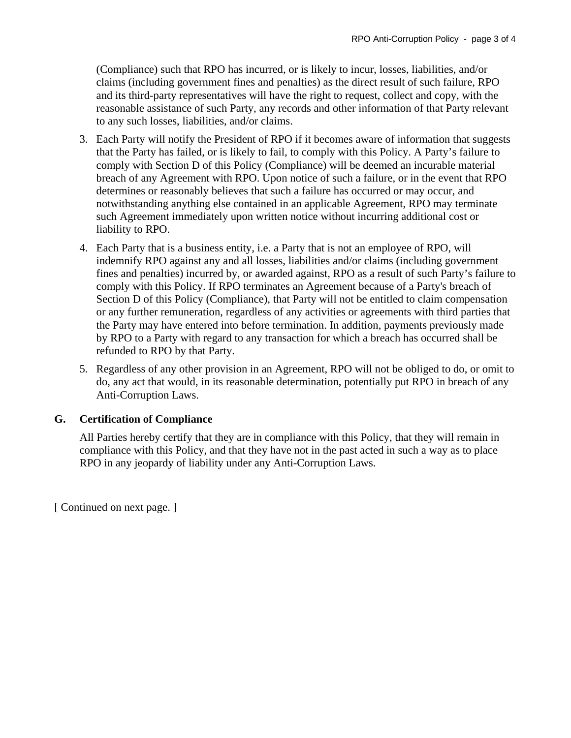(Compliance) such that RPO has incurred, or is likely to incur, losses, liabilities, and/or claims (including government fines and penalties) as the direct result of such failure, RPO and its third-party representatives will have the right to request, collect and copy, with the reasonable assistance of such Party, any records and other information of that Party relevant to any such losses, liabilities, and/or claims.

- 3. Each Party will notify the President of RPO if it becomes aware of information that suggests that the Party has failed, or is likely to fail, to comply with this Policy. A Party's failure to comply with Section D of this Policy (Compliance) will be deemed an incurable material breach of any Agreement with RPO. Upon notice of such a failure, or in the event that RPO determines or reasonably believes that such a failure has occurred or may occur, and notwithstanding anything else contained in an applicable Agreement, RPO may terminate such Agreement immediately upon written notice without incurring additional cost or liability to RPO.
- 4. Each Party that is a business entity, i.e. a Party that is not an employee of RPO, will indemnify RPO against any and all losses, liabilities and/or claims (including government fines and penalties) incurred by, or awarded against, RPO as a result of such Party's failure to comply with this Policy. If RPO terminates an Agreement because of a Party's breach of Section D of this Policy (Compliance), that Party will not be entitled to claim compensation or any further remuneration, regardless of any activities or agreements with third parties that the Party may have entered into before termination. In addition, payments previously made by RPO to a Party with regard to any transaction for which a breach has occurred shall be refunded to RPO by that Party.
- 5. Regardless of any other provision in an Agreement, RPO will not be obliged to do, or omit to do, any act that would, in its reasonable determination, potentially put RPO in breach of any Anti-Corruption Laws.

### **G. Certification of Compliance**

All Parties hereby certify that they are in compliance with this Policy, that they will remain in compliance with this Policy, and that they have not in the past acted in such a way as to place RPO in any jeopardy of liability under any Anti-Corruption Laws.

[ Continued on next page. ]